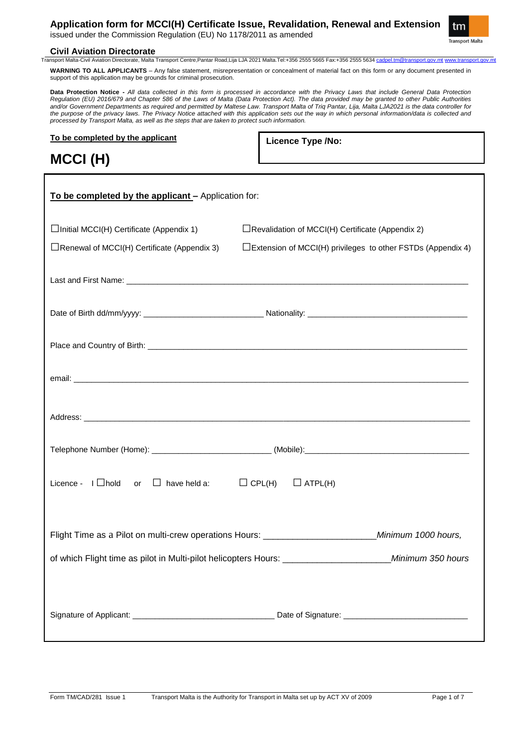**Application form for MCCI(H) Certificate Issue, Revalidation, Renewal and Extension** issued under the Commission Regulation (EU) No 1178/2011 as amended

tm **Transport Malta** 

# **Civil Aviation Directorate**<br> **Transport Malta-Civil Aviation Directorate. Malta**

.<br>-Civil Aviation Directorate, Malta Transport Centre,Pantar Road,Lija LJA 2021 Malta.Tel:+356 2555 5665 Fax:+356 2555 5634 cadpel.tm@transport.gov.mt www.transport.gov.mt WARNING TO ALL APPLICANTS – Any false statement, misrepresentation or concealment of material fact on this form or any document presented in support of this application may be grounds for criminal prosecution.

**Data Protection Notice -** *All data collected in this form is processed in accordance with the Privacy Laws that include General Data Protection Regulation (EU) 2016/679 and Chapter 586 of the Laws of Malta (Data Protection Act). The data provided may be granted to other Public Authorities*  and/or Government Departments as required and permitted by Maltese Law. Transport Malta of Triq Pantar, Lija, Malta LJA2021 is the data controller for *the purpose of the privacy laws. The Privacy Notice attached with this application sets out the way in which personal information/data is collected and processed by Transport Malta, as well as the steps that are taken to protect such information.*

**To be completed by the applicant**

**Licence Type /No:** 

# **MCCI (H)**

| To be completed by the applicant - Application for:          |                                                                       |  |
|--------------------------------------------------------------|-----------------------------------------------------------------------|--|
| $\Box$ Initial MCCI(H) Certificate (Appendix 1)              | $\Box$ Revalidation of MCCI(H) Certificate (Appendix 2)               |  |
| $\Box$ Renewal of MCCI(H) Certificate (Appendix 3)           | $\square$ Extension of MCCI(H) privileges to other FSTDs (Appendix 4) |  |
|                                                              |                                                                       |  |
|                                                              |                                                                       |  |
|                                                              |                                                                       |  |
|                                                              |                                                                       |  |
|                                                              |                                                                       |  |
|                                                              |                                                                       |  |
| Licence - $I \Box$ hold or $\Box$ have held a: $\Box$ CPL(H) | $\Box$ ATPL(H)                                                        |  |
|                                                              |                                                                       |  |
|                                                              |                                                                       |  |
|                                                              |                                                                       |  |
|                                                              |                                                                       |  |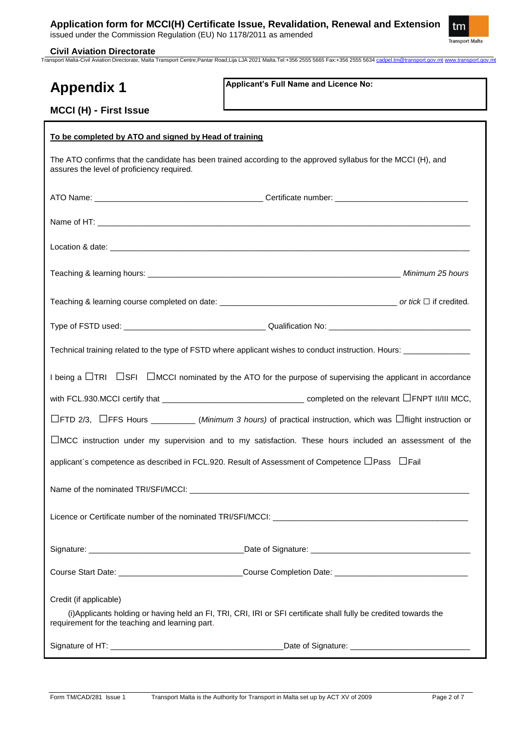issued under the Commission Regulation (EU) No 1178/2011 as amended



**Civil Aviation Directorate** Transport Malta-Civil Aviation Directorate, Malta Transport Centre,Pantar Road,Lija LJA 2021 Malta.Tel:+356 2555 5665 Fax:+356 2555 5634 cadpel.tm@transport.gov.mt www.transport.gov.mt

| <b>Appendix 1</b>                                                                                                                                                    | Applicant's Full Name and Licence No:                                                                                          |  |  |  |
|----------------------------------------------------------------------------------------------------------------------------------------------------------------------|--------------------------------------------------------------------------------------------------------------------------------|--|--|--|
| MCCI (H) - First Issue                                                                                                                                               |                                                                                                                                |  |  |  |
| To be completed by ATO and signed by Head of training                                                                                                                |                                                                                                                                |  |  |  |
| The ATO confirms that the candidate has been trained according to the approved syllabus for the MCCI (H), and<br>assures the level of proficiency required.          |                                                                                                                                |  |  |  |
|                                                                                                                                                                      |                                                                                                                                |  |  |  |
|                                                                                                                                                                      |                                                                                                                                |  |  |  |
|                                                                                                                                                                      |                                                                                                                                |  |  |  |
|                                                                                                                                                                      |                                                                                                                                |  |  |  |
|                                                                                                                                                                      |                                                                                                                                |  |  |  |
|                                                                                                                                                                      |                                                                                                                                |  |  |  |
| Technical training related to the type of FSTD where applicant wishes to conduct instruction. Hours: ____________                                                    |                                                                                                                                |  |  |  |
| I being a $\Box$ TRI $\Box$ SFI $\Box$ MCCI nominated by the ATO for the purpose of supervising the applicant in accordance                                          |                                                                                                                                |  |  |  |
|                                                                                                                                                                      |                                                                                                                                |  |  |  |
|                                                                                                                                                                      | $\Box$ FTD 2/3, $\Box$ FFS Hours ___________(Minimum 3 hours) of practical instruction, which was $\Box$ flight instruction or |  |  |  |
| $\Box$ MCC instruction under my supervision and to my satisfaction. These hours included an assessment of the                                                        |                                                                                                                                |  |  |  |
| applicant`s competence as described in FCL.920. Result of Assessment of Competence LPass LFail                                                                       |                                                                                                                                |  |  |  |
|                                                                                                                                                                      |                                                                                                                                |  |  |  |
|                                                                                                                                                                      |                                                                                                                                |  |  |  |
|                                                                                                                                                                      |                                                                                                                                |  |  |  |
|                                                                                                                                                                      | Course Start Date: ________________________________Course Completion Date: ___________________________________                 |  |  |  |
| Credit (if applicable)                                                                                                                                               |                                                                                                                                |  |  |  |
| (i) Applicants holding or having held an FI, TRI, CRI, IRI or SFI certificate shall fully be credited towards the<br>requirement for the teaching and learning part. |                                                                                                                                |  |  |  |
|                                                                                                                                                                      |                                                                                                                                |  |  |  |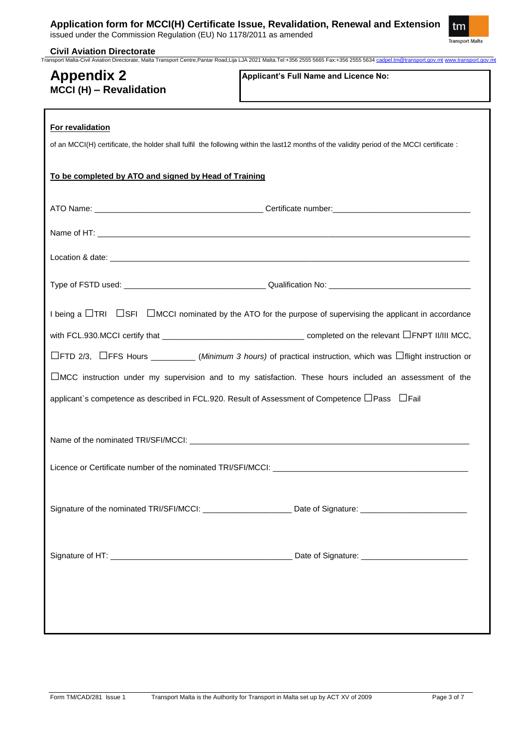|  |  | Application form for MCCI(H) Certificate Issue, Revalidation, Renewal and Extension |
|--|--|-------------------------------------------------------------------------------------|
|  |  |                                                                                     |

|                                                                                                            | Transport Malta-Civil Aviation Directorate, Malta Transport Centre, Pantar Road, Lija LJA 2021 Malta.Tel:+356 2555 5665 Fax:+356 2555 5634 cadpel.tm@transport.gov.mt www.transport.gov.m |
|------------------------------------------------------------------------------------------------------------|-------------------------------------------------------------------------------------------------------------------------------------------------------------------------------------------|
| <b>Appendix 2</b><br>MCCI (H) - Revalidation                                                               | Applicant's Full Name and Licence No:                                                                                                                                                     |
| For revalidation                                                                                           |                                                                                                                                                                                           |
|                                                                                                            | of an MCCI(H) certificate, the holder shall fulfil the following within the last12 months of the validity period of the MCCI certificate :                                                |
| To be completed by ATO and signed by Head of Training                                                      |                                                                                                                                                                                           |
|                                                                                                            |                                                                                                                                                                                           |
|                                                                                                            |                                                                                                                                                                                           |
|                                                                                                            |                                                                                                                                                                                           |
|                                                                                                            |                                                                                                                                                                                           |
|                                                                                                            | I being a $\Box$ TRI $\Box$ SFI $\Box$ MCCI nominated by the ATO for the purpose of supervising the applicant in accordance                                                               |
|                                                                                                            |                                                                                                                                                                                           |
|                                                                                                            | $\Box$ FTD 2/3, $\Box$ FFS Hours ____________(Minimum 3 hours) of practical instruction, which was $\Box$ flight instruction or                                                           |
|                                                                                                            | $\Box$ MCC instruction under my supervision and to my satisfaction. These hours included an assessment of the                                                                             |
|                                                                                                            |                                                                                                                                                                                           |
| applicant's competence as described in FCL.920. Result of Assessment of Competence $\Box$ Pass $\Box$ Fail |                                                                                                                                                                                           |
|                                                                                                            |                                                                                                                                                                                           |
|                                                                                                            |                                                                                                                                                                                           |
|                                                                                                            | Signature of the nominated TRI/SFI/MCCI: _________________________ Date of Signature: ________________________                                                                            |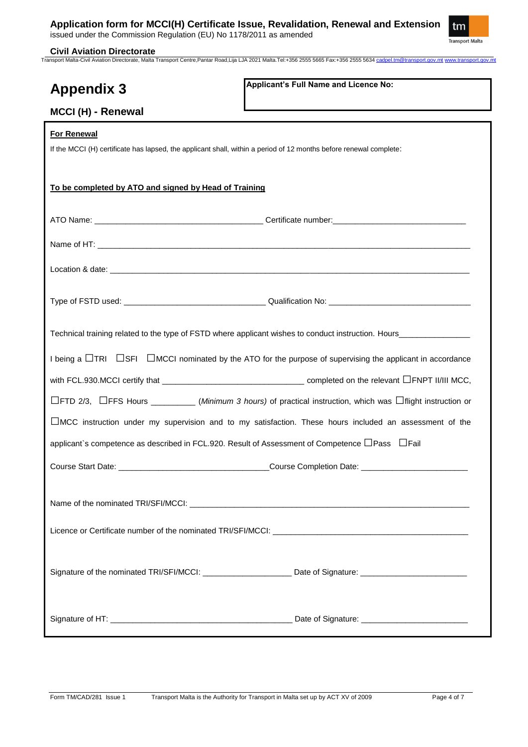### **Application form for MCCI(H) Certificate Issue, Revalidation, Renewal and Extension**

issued under the Commission Regulation (EU) No 1178/2011 as amended



**Civil Aviation Directorate** Transport Malta-Civil Aviation Directorate, Malta Transport Centre,Pantar Road,Lija LJA 2021 Malta.Tel:+356 2555 5665 Fax:+356 2555 5634 cadpel.tm@transport.gov.mt www.transport.gov.mt

| <b>Appendix 3</b>                                                                                                                        | Applicant's Full Name and Licence No:                                                                                                                                                                                                                                                                                                                                                     |  |  |
|------------------------------------------------------------------------------------------------------------------------------------------|-------------------------------------------------------------------------------------------------------------------------------------------------------------------------------------------------------------------------------------------------------------------------------------------------------------------------------------------------------------------------------------------|--|--|
| MCCI (H) - Renewal                                                                                                                       |                                                                                                                                                                                                                                                                                                                                                                                           |  |  |
| <b>For Renewal</b><br>If the MCCI (H) certificate has lapsed, the applicant shall, within a period of 12 months before renewal complete: |                                                                                                                                                                                                                                                                                                                                                                                           |  |  |
| To be completed by ATO and signed by Head of Training                                                                                    |                                                                                                                                                                                                                                                                                                                                                                                           |  |  |
|                                                                                                                                          |                                                                                                                                                                                                                                                                                                                                                                                           |  |  |
|                                                                                                                                          |                                                                                                                                                                                                                                                                                                                                                                                           |  |  |
|                                                                                                                                          |                                                                                                                                                                                                                                                                                                                                                                                           |  |  |
|                                                                                                                                          |                                                                                                                                                                                                                                                                                                                                                                                           |  |  |
|                                                                                                                                          |                                                                                                                                                                                                                                                                                                                                                                                           |  |  |
| I being a $\Box$ TRI $\Box$ SFI $\Box$ MCCI nominated by the ATO for the purpose of supervising the applicant in accordance              |                                                                                                                                                                                                                                                                                                                                                                                           |  |  |
|                                                                                                                                          | with FCL.930.MCCI certify that $\frac{1}{\sqrt{1-\frac{1}{2}}\sqrt{1-\frac{1}{2}}\sqrt{1-\frac{1}{2}}\sqrt{1-\frac{1}{2}}\sqrt{1-\frac{1}{2}}\sqrt{1-\frac{1}{2}}\sqrt{1-\frac{1}{2}}\sqrt{1-\frac{1}{2}}\sqrt{1-\frac{1}{2}}\sqrt{1-\frac{1}{2}}\sqrt{1-\frac{1}{2}}\sqrt{1-\frac{1}{2}}\sqrt{1-\frac{1}{2}}\sqrt{1-\frac{1}{2}}\sqrt{1-\frac{1}{2}}\sqrt{1-\frac{1}{2}}\sqrt{1-\frac{1$ |  |  |
|                                                                                                                                          | $\Box$ FTD 2/3, $\Box$ FFS Hours ____________(Minimum 3 hours) of practical instruction, which was $\Box$ flight instruction or                                                                                                                                                                                                                                                           |  |  |
| $\Box$ MCC instruction under my supervision and to my satisfaction. These hours included an assessment of the                            |                                                                                                                                                                                                                                                                                                                                                                                           |  |  |
| applicant's competence as described in FCL.920. Result of Assessment of Competence $\Box$ Pass $\Box$ Fail                               |                                                                                                                                                                                                                                                                                                                                                                                           |  |  |
|                                                                                                                                          |                                                                                                                                                                                                                                                                                                                                                                                           |  |  |
|                                                                                                                                          |                                                                                                                                                                                                                                                                                                                                                                                           |  |  |
|                                                                                                                                          |                                                                                                                                                                                                                                                                                                                                                                                           |  |  |
|                                                                                                                                          | Signature of the nominated TRI/SFI/MCCI: __________________________Date of Signature: ________________________                                                                                                                                                                                                                                                                            |  |  |
|                                                                                                                                          |                                                                                                                                                                                                                                                                                                                                                                                           |  |  |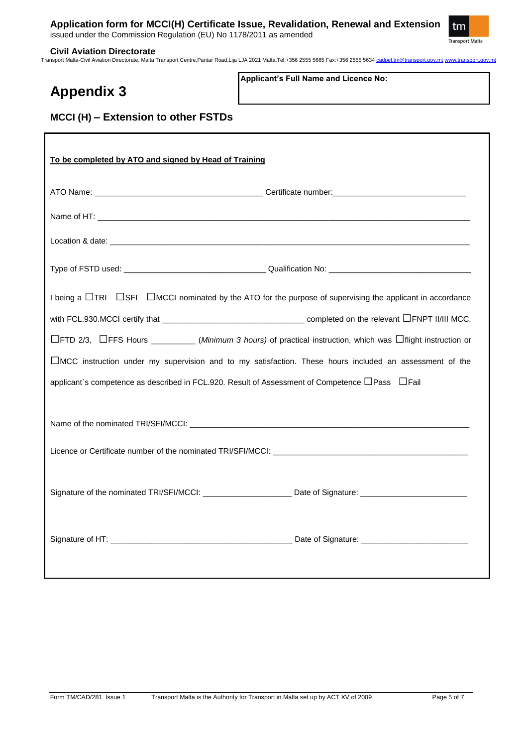issued under the Commission Regulation (EU) No 1178/2011 as amended



#### **Civil Aviation Directorate**

Transport Malta-Civil Aviation Directorate, Malta Transport Centre,Pantar Road,Lija LJA 2021 Malta.Tel:+356 2555 5665 Fax:+356 2555 5634 cadpel.tm@transport.gov.mt www.transport.gov.mt

# **Appendix 3**

**Applicant's Full Name and Licence No:**

# **MCCI (H) – Extension to other FSTDs**

| To be completed by ATO and signed by Head of Training                                                                                                                                                                         |  |  |  |
|-------------------------------------------------------------------------------------------------------------------------------------------------------------------------------------------------------------------------------|--|--|--|
|                                                                                                                                                                                                                               |  |  |  |
|                                                                                                                                                                                                                               |  |  |  |
| Location & date: the contract of the contract of the contract of the contract of the contract of the contract of the contract of the contract of the contract of the contract of the contract of the contract of the contract |  |  |  |
|                                                                                                                                                                                                                               |  |  |  |
| I being a $\Box$ TRI $\Box$ SFI $\Box$ MCCI nominated by the ATO for the purpose of supervising the applicant in accordance                                                                                                   |  |  |  |
|                                                                                                                                                                                                                               |  |  |  |
| $\Box$ FTD 2/3, $\Box$ FFS Hours ___________(Minimum 3 hours) of practical instruction, which was $\Box$ flight instruction or                                                                                                |  |  |  |
| □MCC instruction under my supervision and to my satisfaction. These hours included an assessment of the                                                                                                                       |  |  |  |
| applicant's competence as described in FCL.920. Result of Assessment of Competence □ Pass □ Fail                                                                                                                              |  |  |  |
|                                                                                                                                                                                                                               |  |  |  |
|                                                                                                                                                                                                                               |  |  |  |
|                                                                                                                                                                                                                               |  |  |  |
| Signature of the nominated TRI/SFI/MCCI: ____________________________Date of Signature: ______________________                                                                                                                |  |  |  |
|                                                                                                                                                                                                                               |  |  |  |
|                                                                                                                                                                                                                               |  |  |  |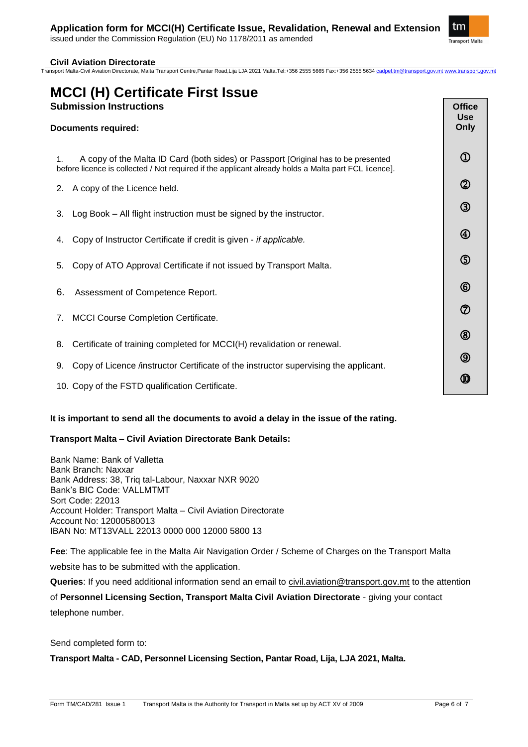

#### **Civil Aviation Directorate**

Transport Malta-Civil Aviation Directorate, Malta Transport Centre,Pantar Road,Lija LJA 2021 Malta.Tel:+356 2555 5665 Fax:+356 2555 5634 g

## **MCCI (H) Certificate First Issue Submission Instructions**

### **Documents required:** 1. A copy of the Malta ID Card (both sides) or Passport [Original has to be presented before licence is collected / Not required if the applicant already holds a Malta part FCL licence]. 2. A copy of the Licence held. 3. Log Book – All flight instruction must be signed by the instructor. 4. Copy of Instructor Certificate if credit is given - *if applicable.* 5. Copy of ATO Approval Certificate if not issued by Transport Malta. 6. Assessment of Competence Report. 7. MCCI Course Completion Certificate. 8. Certificate of training completed for MCCI(H) revalidation or renewal. 9. Copy of Licence /instructor Certificate of the instructor supervising the applicant. 10. Copy of the FSTD qualification Certificate. **Office Use Only**  $\Omega$  $\circled{2}$  $\circled{3}$ 4  $\circledS$  $\circled$  $\circledD$  $^{\circledR}$  $\circledS$ ⅏

#### **It is important to send all the documents to avoid a delay in the issue of the rating.**

### **Transport Malta – Civil Aviation Directorate Bank Details:**

Bank Name: Bank of Valletta Bank Branch: Naxxar Bank Address: 38, Triq tal-Labour, Naxxar NXR 9020 Bank's BIC Code: VALLMTMT Sort Code: 22013 Account Holder: Transport Malta – Civil Aviation Directorate Account No: 12000580013 IBAN No: MT13VALL 22013 0000 000 12000 5800 13

**Fee**: The applicable fee in the Malta Air Navigation Order / Scheme of Charges on the Transport Malta website has to be submitted with the application.

**Queries**: If you need additional information send an email to [civil.aviation@transport.gov.mt](mailto:civil.aviation@transport.gov.mt) to the attention of **Personnel Licensing Section, Transport Malta Civil Aviation Directorate** - giving your contact telephone number.

Send completed form to:

**Transport Malta - CAD, Personnel Licensing Section, Pantar Road, Lija, LJA 2021, Malta.**